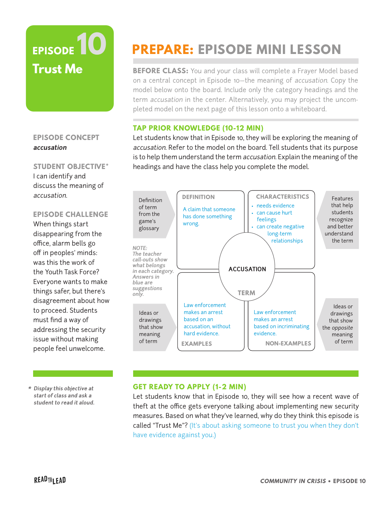# **EPISODE 10 Trust Me**

## **EPISODE CONCEPT accusation**

**STUDENT OBJECTIVE\*** I can identify and discuss the meaning of accusation.

### **EPISODE CHALLENGE**

When things start disappearing from the office, alarm bells go off in peoples' minds: was this the work of the Youth Task Force? Everyone wants to make things safer, but there's disagreement about how to proceed. Students must find a way of addressing the security issue without making people feel unwelcome.

**PREPARE: EPISODE MINI LESSON** 

**BEFORE CLASS:** You and your class will complete a Frayer Model based on a central concept in Episode 10—the meaning of accusation. Copy the model below onto the board. Include only the category headings and the term accusation in the center. Alternatively, you may project the uncompleted model on the next page of this lesson onto a whiteboard.

## **TAP PRIOR KNOWLEDGE (10-12 MIN)**

Let students know that in Episode 10, they will be exploring the meaning of accusation. Refer to the model on the board. Tell students that its purpose is to help them understand the term accusation. Explain the meaning of the headings and have the class help you complete the model.



**\* Display this objective at start of class and ask a student to read it aloud.**

#### **GET READY TO APPLY (1-2 MIN)**

Let students know that in Episode 10, they will see how a recent wave of theft at the office gets everyone talking about implementing new security measures. Based on what they've learned, why do they think this episode is called "Trust Me"? (It's about asking someone to trust you when they don't have evidence against you.)